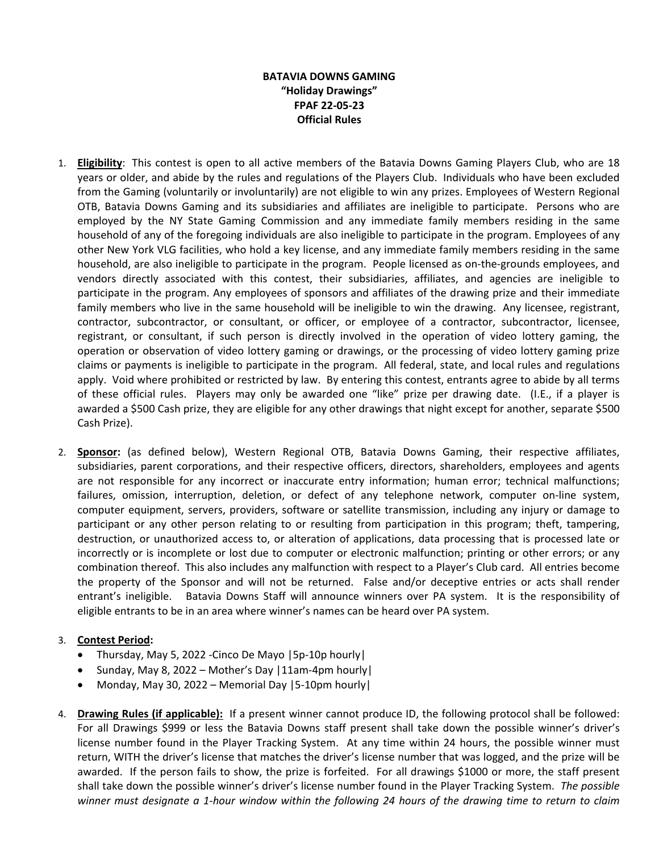## **BATAVIA DOWNS GAMING "Holiday Drawings" FPAF 22-05-23 Official Rules**

- 1. **Eligibility**: This contest is open to all active members of the Batavia Downs Gaming Players Club, who are 18 years or older, and abide by the rules and regulations of the Players Club. Individuals who have been excluded from the Gaming (voluntarily or involuntarily) are not eligible to win any prizes. Employees of Western Regional OTB, Batavia Downs Gaming and its subsidiaries and affiliates are ineligible to participate. Persons who are employed by the NY State Gaming Commission and any immediate family members residing in the same household of any of the foregoing individuals are also ineligible to participate in the program. Employees of any other New York VLG facilities, who hold a key license, and any immediate family members residing in the same household, are also ineligible to participate in the program. People licensed as on-the-grounds employees, and vendors directly associated with this contest, their subsidiaries, affiliates, and agencies are ineligible to participate in the program. Any employees of sponsors and affiliates of the drawing prize and their immediate family members who live in the same household will be ineligible to win the drawing. Any licensee, registrant, contractor, subcontractor, or consultant, or officer, or employee of a contractor, subcontractor, licensee, registrant, or consultant, if such person is directly involved in the operation of video lottery gaming, the operation or observation of video lottery gaming or drawings, or the processing of video lottery gaming prize claims or payments is ineligible to participate in the program. All federal, state, and local rules and regulations apply. Void where prohibited or restricted by law. By entering this contest, entrants agree to abide by all terms of these official rules. Players may only be awarded one "like" prize per drawing date. (I.E., if a player is awarded a \$500 Cash prize, they are eligible for any other drawings that night except for another, separate \$500 Cash Prize).
- 2. **Sponsor:** (as defined below), Western Regional OTB, Batavia Downs Gaming, their respective affiliates, subsidiaries, parent corporations, and their respective officers, directors, shareholders, employees and agents are not responsible for any incorrect or inaccurate entry information; human error; technical malfunctions; failures, omission, interruption, deletion, or defect of any telephone network, computer on-line system, computer equipment, servers, providers, software or satellite transmission, including any injury or damage to participant or any other person relating to or resulting from participation in this program; theft, tampering, destruction, or unauthorized access to, or alteration of applications, data processing that is processed late or incorrectly or is incomplete or lost due to computer or electronic malfunction; printing or other errors; or any combination thereof. This also includes any malfunction with respect to a Player's Club card. All entries become the property of the Sponsor and will not be returned. False and/or deceptive entries or acts shall render entrant's ineligible. Batavia Downs Staff will announce winners over PA system. It is the responsibility of eligible entrants to be in an area where winner's names can be heard over PA system.

## 3. **Contest Period:**

- Thursday, May 5, 2022 -Cinco De Mayo |5p-10p hourly|
- Sunday, May 8, 2022 Mother's Day |11am-4pm hourly|
- Monday, May 30, 2022 Memorial Day |5-10pm hourly|
- 4. **Drawing Rules (if applicable):** If a present winner cannot produce ID, the following protocol shall be followed: For all Drawings \$999 or less the Batavia Downs staff present shall take down the possible winner's driver's license number found in the Player Tracking System. At any time within 24 hours, the possible winner must return, WITH the driver's license that matches the driver's license number that was logged, and the prize will be awarded. If the person fails to show, the prize is forfeited. For all drawings \$1000 or more, the staff present shall take down the possible winner's driver's license number found in the Player Tracking System. *The possible winner must designate a 1-hour window within the following 24 hours of the drawing time to return to claim*